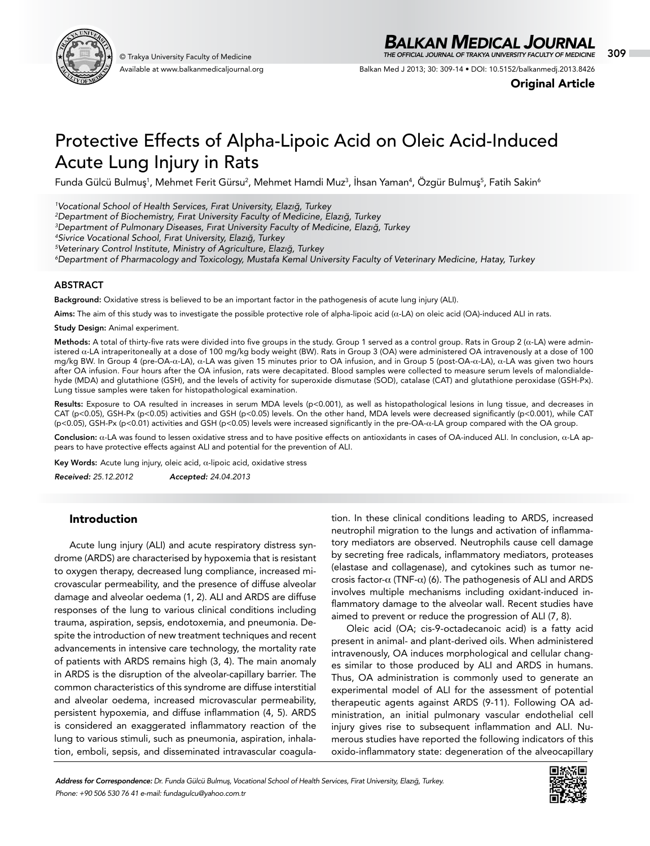

Available at www.balkanmedicaljournal.org

# *BALKAN MEDICAL JOURNAL*

© Trakya University Faculty of Medicine 309 *THE OFFICIAL JOURNAL OF TRAKYA UNIVERSITY FACULTY OF MEDICINE*

Balkan Med J 2013; 30: 309-14 • DOI: 10.5152/balkanmedj.2013.8426

Original Article

# Protective Effects of Alpha-Lipoic Acid on Oleic Acid-Induced Acute Lung Injury in Rats

Funda Gülcü Bulmuş<sup>1</sup>, Mehmet Ferit Gürsu<sup>2</sup>, Mehmet Hamdi Muz<sup>3</sup>, Ihsan Yaman<sup>4</sup>, Özgür Bulmuş<sup>5</sup>, Fatih Sakin<sup>6</sup>

*1 Vocational School of Health Services, Fırat University, Elazığ, Turkey*

*2 Department of Biochemistry, Fırat University Faculty of Medicine, Elazığ, Turkey*

*3 Department of Pulmonary Diseases, Fırat University Faculty of Medicine, Elazığ, Turkey*

*4 Sivrice Vocational School, Fırat University, Elazığ, Turkey*

*5 Veterinary Control Institute, Ministry of Agriculture, Elazığ, Turkey*

*6 Department of Pharmacology and Toxicology, Mustafa Kemal University Faculty of Veterinary Medicine, Hatay, Turkey*

#### **ABSTRACT**

Background: Oxidative stress is believed to be an important factor in the pathogenesis of acute lung injury (ALI).

Aims: The aim of this study was to investigate the possible protective role of alpha-lipoic acid (α-LA) on oleic acid (OA)-induced ALI in rats.

Study Design: Animal experiment.

Methods: A total of thirty-five rats were divided into five groups in the study. Group 1 served as a control group. Rats in Group 2 (α-LA) were administered α-LA intraperitoneally at a dose of 100 mg/kg body weight (BW). Rats in Group 3 (OA) were administered OA intravenously at a dose of 100 mg/kg BW. In Group 4 (pre-OA-α-LA), α-LA was given 15 minutes prior to OA infusion, and in Group 5 (post-OA-α-LA), α-LA was given two hours after OA infusion. Four hours after the OA infusion, rats were decapitated. Blood samples were collected to measure serum levels of malondialdehyde (MDA) and glutathione (GSH), and the levels of activity for superoxide dismutase (SOD), catalase (CAT) and glutathione peroxidase (GSH-Px). Lung tissue samples were taken for histopathological examination.

Results: Exposure to OA resulted in increases in serum MDA levels (p<0.001), as well as histopathological lesions in lung tissue, and decreases in CAT (p<0.05), GSH-Px (p<0.05) activities and GSH (p<0.05) levels. On the other hand, MDA levels were decreased significantly (p<0.001), while CAT (p<0.05), GSH-Px (p<0.01) activities and GSH (p<0.05) levels were increased significantly in the pre-OA-α-LA group compared with the OA group.

Conclusion: α-LA was found to lessen oxidative stress and to have positive effects on antioxidants in cases of OA-induced ALI. In conclusion, α-LA appears to have protective effects against ALI and potential for the prevention of ALI.

Key Words: Acute lung injury, oleic acid,  $\alpha$ -lipoic acid, oxidative stress

*Received: 25.12.2012 Accepted: 24.04.2013*

# Introduction

Acute lung injury (ALI) and acute respiratory distress syndrome (ARDS) are characterised by hypoxemia that is resistant to oxygen therapy, decreased lung compliance, increased microvascular permeability, and the presence of diffuse alveolar damage and alveolar oedema (1, 2). ALI and ARDS are diffuse responses of the lung to various clinical conditions including trauma, aspiration, sepsis, endotoxemia, and pneumonia. Despite the introduction of new treatment techniques and recent advancements in intensive care technology, the mortality rate of patients with ARDS remains high (3, 4). The main anomaly in ARDS is the disruption of the alveolar-capillary barrier. The common characteristics of this syndrome are diffuse interstitial and alveolar oedema, increased microvascular permeability, persistent hypoxemia, and diffuse inflammation (4, 5). ARDS is considered an exaggerated inflammatory reaction of the lung to various stimuli, such as pneumonia, aspiration, inhalation, emboli, sepsis, and disseminated intravascular coagulation. In these clinical conditions leading to ARDS, increased neutrophil migration to the lungs and activation of inflammatory mediators are observed. Neutrophils cause cell damage by secreting free radicals, inflammatory mediators, proteases (elastase and collagenase), and cytokines such as tumor necrosis factor- $\alpha$  (TNF- $\alpha$ ) (6). The pathogenesis of ALI and ARDS involves multiple mechanisms including oxidant-induced inflammatory damage to the alveolar wall. Recent studies have aimed to prevent or reduce the progression of ALI (7, 8).

Oleic acid (OA; cis-9-octadecanoic acid) is a fatty acid present in animal- and plant-derived oils. When administered intravenously, OA induces morphological and cellular changes similar to those produced by ALI and ARDS in humans. Thus, OA administration is commonly used to generate an experimental model of ALI for the assessment of potential therapeutic agents against ARDS (9-11). Following OA administration, an initial pulmonary vascular endothelial cell injury gives rise to subsequent inflammation and ALI. Numerous studies have reported the following indicators of this oxido-inflammatory state: degeneration of the alveocapillary

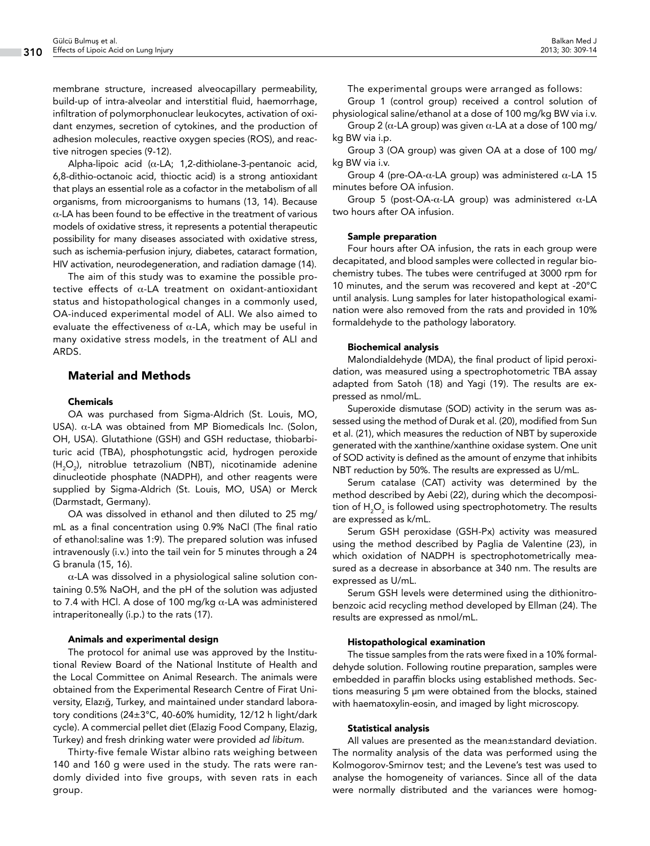membrane structure, increased alveocapillary permeability, build-up of intra-alveolar and interstitial fluid, haemorrhage, infiltration of polymorphonuclear leukocytes, activation of oxidant enzymes, secretion of cytokines, and the production of adhesion molecules, reactive oxygen species (ROS), and reactive nitrogen species (9-12).

Alpha-lipoic acid (α-LA; 1,2-dithiolane-3-pentanoic acid, 6,8-dithio-octanoic acid, thioctic acid) is a strong antioxidant that plays an essential role as a cofactor in the metabolism of all organisms, from microorganisms to humans (13, 14). Because  $\alpha$ -LA has been found to be effective in the treatment of various models of oxidative stress, it represents a potential therapeutic possibility for many diseases associated with oxidative stress, such as ischemia-perfusion injury, diabetes, cataract formation, HIV activation, neurodegeneration, and radiation damage (14).

The aim of this study was to examine the possible protective effects of  $\alpha$ -LA treatment on oxidant-antioxidant status and histopathological changes in a commonly used, OA-induced experimental model of ALI. We also aimed to evaluate the effectiveness of  $\alpha$ -LA, which may be useful in many oxidative stress models, in the treatment of ALI and ARDS.

## Material and Methods

#### Chemicals

OA was purchased from Sigma-Aldrich (St. Louis, MO, USA).  $\alpha$ -LA was obtained from MP Biomedicals Inc. (Solon, OH, USA). Glutathione (GSH) and GSH reductase, thiobarbituric acid (TBA), phosphotungstic acid, hydrogen peroxide (H<sub>2</sub>O<sub>2</sub>), nitroblue tetrazolium (NBT), nicotinamide adenine dinucleotide phosphate (NADPH), and other reagents were supplied by Sigma-Aldrich (St. Louis, MO, USA) or Merck (Darmstadt, Germany).

OA was dissolved in ethanol and then diluted to 25 mg/ mL as a final concentration using 0.9% NaCl (The final ratio of ethanol:saline was 1:9). The prepared solution was infused intravenously (i.v.) into the tail vein for 5 minutes through a 24 G branula (15, 16).

α-LA was dissolved in a physiological saline solution containing 0.5% NaOH, and the pH of the solution was adjusted to 7.4 with HCl. A dose of 100 mg/kg α-LA was administered intraperitoneally (i.p.) to the rats (17).

#### Animals and experimental design

The protocol for animal use was approved by the Institutional Review Board of the National Institute of Health and the Local Committee on Animal Research. The animals were obtained from the Experimental Research Centre of Firat University, Elazığ, Turkey, and maintained under standard laboratory conditions (24±3°C, 40-60% humidity, 12/12 h light/dark cycle). A commercial pellet diet (Elazig Food Company, Elazig, Turkey) and fresh drinking water were provided *ad libitum*.

Thirty-five female Wistar albino rats weighing between 140 and 160 g were used in the study. The rats were randomly divided into five groups, with seven rats in each group.

Group 1 (control group) received a control solution of physiological saline/ethanol at a dose of 100 mg/kg BW via i.v.

Group 2 (α-LA group) was given α-LA at a dose of 100 mg/ kg BW via i.p.

Group 3 (OA group) was given OA at a dose of 100 mg/ kg BW via i.v.

Group 4 (pre-OA-α-LA group) was administered α-LA 15 minutes before OA infusion.

Group 5 (post-OA-α-LA group) was administered α-LA two hours after OA infusion.

#### Sample preparation

Four hours after OA infusion, the rats in each group were decapitated, and blood samples were collected in regular biochemistry tubes. The tubes were centrifuged at 3000 rpm for 10 minutes, and the serum was recovered and kept at -20°C until analysis. Lung samples for later histopathological examination were also removed from the rats and provided in 10% formaldehyde to the pathology laboratory.

#### Biochemical analysis

Malondialdehyde (MDA), the final product of lipid peroxidation, was measured using a spectrophotometric TBA assay adapted from Satoh (18) and Yagi (19). The results are expressed as nmol/mL.

Superoxide dismutase (SOD) activity in the serum was assessed using the method of Durak et al. (20), modified from Sun et al. (21), which measures the reduction of NBT by superoxide generated with the xanthine/xanthine oxidase system. One unit of SOD activity is defined as the amount of enzyme that inhibits NBT reduction by 50%. The results are expressed as U/mL.

Serum catalase (CAT) activity was determined by the method described by Aebi (22), during which the decomposition of  ${\sf H}_{\mathfrak{z}}{\sf O}_{\mathfrak{z}}$  is followed using spectrophotometry. The results are expressed as k/mL.

Serum GSH peroxidase (GSH-Px) activity was measured using the method described by Paglia de Valentine (23), in which oxidation of NADPH is spectrophotometrically measured as a decrease in absorbance at 340 nm. The results are expressed as U/mL.

Serum GSH levels were determined using the dithionitrobenzoic acid recycling method developed by Ellman (24). The results are expressed as nmol/mL.

#### Histopathological examination

The tissue samples from the rats were fixed in a 10% formaldehyde solution. Following routine preparation, samples were embedded in paraffin blocks using established methods. Sections measuring 5 µm were obtained from the blocks, stained with haematoxylin-eosin, and imaged by light microscopy.

#### Statistical analysis

All values are presented as the mean±standard deviation. The normality analysis of the data was performed using the Kolmogorov-Smirnov test; and the Levene's test was used to analyse the homogeneity of variances. Since all of the data were normally distributed and the variances were homog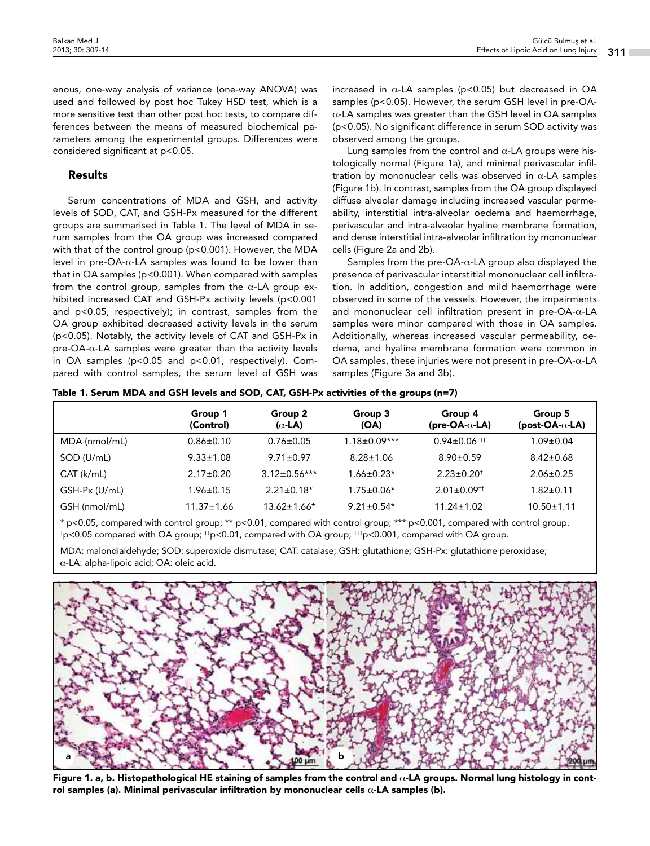enous, one-way analysis of variance (one-way ANOVA) was used and followed by post hoc Tukey HSD test, which is a more sensitive test than other post hoc tests, to compare differences between the means of measured biochemical parameters among the experimental groups. Differences were considered significant at p<0.05.

# Results

Serum concentrations of MDA and GSH, and activity levels of SOD, CAT, and GSH-Px measured for the different groups are summarised in Table 1. The level of MDA in serum samples from the OA group was increased compared with that of the control group (p<0.001). However, the MDA level in pre-OA-α-LA samples was found to be lower than that in OA samples (p<0.001). When compared with samples from the control group, samples from the  $\alpha$ -LA group exhibited increased CAT and GSH-Px activity levels (p<0.001 and p<0.05, respectively); in contrast, samples from the OA group exhibited decreased activity levels in the serum (p<0.05). Notably, the activity levels of CAT and GSH-Px in pre-OA- $\alpha$ -LA samples were greater than the activity levels in OA samples (p<0.05 and p<0.01, respectively). Compared with control samples, the serum level of GSH was increased in  $\alpha$ -LA samples (p<0.05) but decreased in OA samples (p<0.05). However, the serum GSH level in pre-OA- $\alpha$ -LA samples was greater than the GSH level in OA samples (p<0.05). No significant difference in serum SOD activity was observed among the groups.

Lung samples from the control and  $\alpha$ -LA groups were histologically normal (Figure 1a), and minimal perivascular infiltration by mononuclear cells was observed in  $\alpha$ -LA samples (Figure 1b). In contrast, samples from the OA group displayed diffuse alveolar damage including increased vascular permeability, interstitial intra-alveolar oedema and haemorrhage, perivascular and intra-alveolar hyaline membrane formation, and dense interstitial intra-alveolar infiltration by mononuclear cells (Figure 2a and 2b).

Samples from the pre-OA-α-LA group also displayed the presence of perivascular interstitial mononuclear cell infiltration. In addition, congestion and mild haemorrhage were observed in some of the vessels. However, the impairments and mononuclear cell infiltration present in pre-OA-α-LA samples were minor compared with those in OA samples. Additionally, whereas increased vascular permeability, oedema, and hyaline membrane formation were common in OA samples, these injuries were not present in pre-OA-α-LA samples (Figure 3a and 3b).

|  |  |  |  | Table 1. Serum MDA and GSH levels and SOD, CAT, GSH-Px activities of the groups (n=7) |  |  |
|--|--|--|--|---------------------------------------------------------------------------------------|--|--|
|  |  |  |  |                                                                                       |  |  |

|               | Group 1<br>(Control) | Group 2<br>( $\alpha$ -LA) | Group 3<br>(OA)    | Group 4<br>$(\text{pre-OA-}\alpha\text{-LA})$ | Group 5<br>$(post-OA - \alpha - LA)$ |
|---------------|----------------------|----------------------------|--------------------|-----------------------------------------------|--------------------------------------|
| MDA (nmol/mL) | $0.86 \pm 0.10$      | $0.76 \pm 0.05$            | $1.18 \pm 0.09***$ | $0.94 \pm 0.06$ <sup>†††</sup>                | $1.09 \pm 0.04$                      |
| SOD (U/mL)    | $9.33 \pm 1.08$      | $9.71 \pm 0.97$            | $8.28 \pm 1.06$    | $8.90 \pm 0.59$                               | $8.42 \pm 0.68$                      |
| CAT (k/mL)    | $2.17 \pm 0.20$      | $3.12 \pm 0.56***$         | $1.66 \pm 0.23*$   | $2.23 \pm 0.20$ <sup>t</sup>                  | $2.06 \pm 0.25$                      |
| GSH-Px (U/mL) | $1.96 \pm 0.15$      | $2.21 \pm 0.18*$           | $1.75 \pm 0.06*$   | $2.01 \pm 0.09$ <sup>††</sup>                 | 1.82±0.11                            |
| GSH (nmol/mL) | $11.37 \pm 1.66$     | $13.62 \pm 1.66*$          | $9.21 \pm 0.54*$   | $11.24 \pm 1.02$ <sup>†</sup>                 | $10.50 \pm 1.11$                     |

\* p<0.05, compared with control group; \*\* p<0.01, compared with control group; \*\*\* p<0.001, compared with control group.  $^\dagger$ p<0.05 compared with OA group;  $^{\dagger\dagger}$ p<0.01, compared with OA group;  $^{\dagger\dagger}$ p<0.001, compared with OA group.

MDA: malondialdehyde; SOD: superoxide dismutase; CAT: catalase; GSH: glutathione; GSH-Px: glutathione peroxidase; α-LA: alpha-lipoic acid; OA: oleic acid.



Figure 1. a, b. Histopathological HE staining of samples from the control and  $\alpha$ -LA groups. Normal lung histology in control samples (a). Minimal perivascular infiltration by mononuclear cells α-LA samples (b).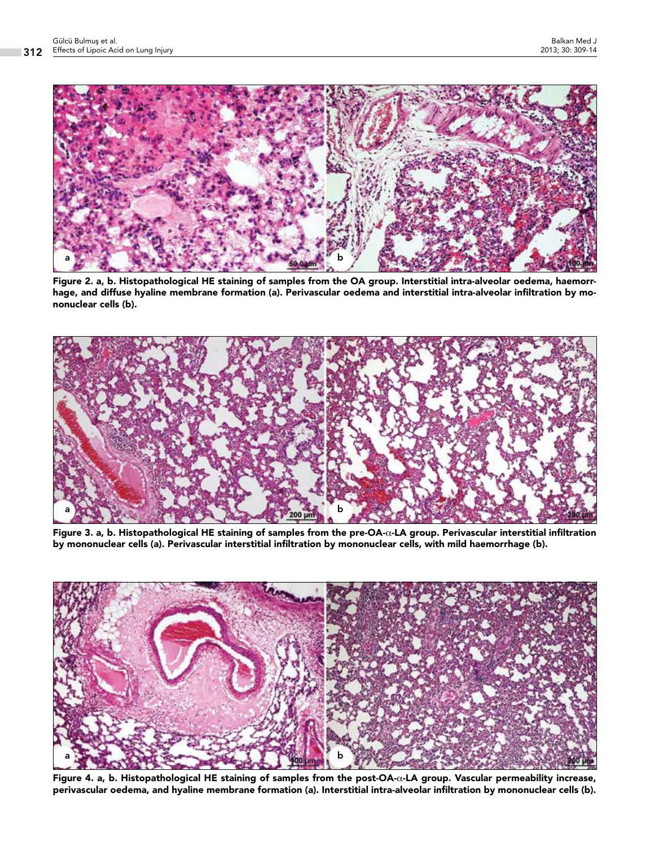

Figure 2. a, b. Histopathological HE staining of samples from the OA group. Interstitial intra-alveolar oedema, haemorrhage, and diffuse hyaline membrane formation (a). Perivascular oedema and interstitial intra-alveolar infiltration by mononuclear cells (b).



Figure 3. a, b. Histopathological HE staining of samples from the pre-OA-α-LA group. Perivascular interstitial infiltration by mononuclear cells (a). Perivascular interstitial infiltration by mononuclear cells, with mild haemorrhage (b).



Figure 4. a, b. Histopathological HE staining of samples from the post-OA-α-LA group. Vascular permeability increase, perivascular oedema, and hyaline membrane formation (a). Interstitial intra-alveolar infiltration by mononuclear cells (b).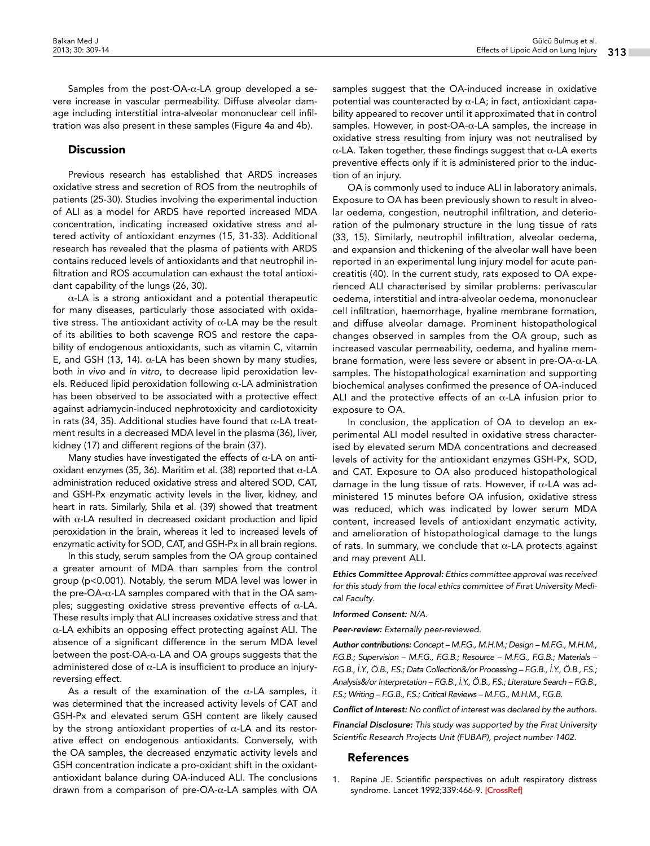Samples from the post-OA- $\alpha$ -LA group developed a severe increase in vascular permeability. Diffuse alveolar damage including interstitial intra-alveolar mononuclear cell infiltration was also present in these samples (Figure 4a and 4b).

# **Discussion**

Previous research has established that ARDS increases oxidative stress and secretion of ROS from the neutrophils of patients (25-30). Studies involving the experimental induction of ALI as a model for ARDS have reported increased MDA concentration, indicating increased oxidative stress and altered activity of antioxidant enzymes (15, 31-33). Additional research has revealed that the plasma of patients with ARDS contains reduced levels of antioxidants and that neutrophil infiltration and ROS accumulation can exhaust the total antioxidant capability of the lungs (26, 30).

 $\alpha$ -LA is a strong antioxidant and a potential therapeutic for many diseases, particularly those associated with oxidative stress. The antioxidant activity of  $\alpha$ -LA may be the result of its abilities to both scavenge ROS and restore the capability of endogenous antioxidants, such as vitamin C, vitamin E, and GSH (13, 14). α-LA has been shown by many studies, both *in vivo* and *in vitro*, to decrease lipid peroxidation levels. Reduced lipid peroxidation following  $\alpha$ -LA administration has been observed to be associated with a protective effect against adriamycin-induced nephrotoxicity and cardiotoxicity in rats (34, 35). Additional studies have found that  $\alpha$ -LA treatment results in a decreased MDA level in the plasma (36), liver, kidney (17) and different regions of the brain (37).

Many studies have investigated the effects of  $\alpha$ -LA on antioxidant enzymes (35, 36). Maritim et al. (38) reported that  $\alpha$ -LA administration reduced oxidative stress and altered SOD, CAT, and GSH-Px enzymatic activity levels in the liver, kidney, and heart in rats. Similarly, Shila et al. (39) showed that treatment with  $\alpha$ -LA resulted in decreased oxidant production and lipid peroxidation in the brain, whereas it led to increased levels of enzymatic activity for SOD, CAT, and GSH-Px in all brain regions.

In this study, serum samples from the OA group contained a greater amount of MDA than samples from the control group (p<0.001). Notably, the serum MDA level was lower in the pre-OA-α-LA samples compared with that in the OA samples; suggesting oxidative stress preventive effects of  $α$ -LA. These results imply that ALI increases oxidative stress and that α-LA exhibits an opposing effect protecting against ALI. The absence of a significant difference in the serum MDA level between the post-OA-α-LA and OA groups suggests that the administered dose of  $\alpha$ -LA is insufficient to produce an injuryreversing effect.

As a result of the examination of the  $\alpha$ -LA samples, it was determined that the increased activity levels of CAT and GSH-Px and elevated serum GSH content are likely caused by the strong antioxidant properties of  $\alpha$ -LA and its restorative effect on endogenous antioxidants. Conversely, with the OA samples, the decreased enzymatic activity levels and GSH concentration indicate a pro-oxidant shift in the oxidantantioxidant balance during OA-induced ALI. The conclusions drawn from a comparison of pre-OA-α-LA samples with OA

samples suggest that the OA-induced increase in oxidative potential was counteracted by  $\alpha$ -LA; in fact, antioxidant capability appeared to recover until it approximated that in control samples. However, in post-OA- $\alpha$ -LA samples, the increase in oxidative stress resulting from injury was not neutralised by α-LA. Taken together, these findings suggest that α-LA exerts preventive effects only if it is administered prior to the induction of an injury.

OA is commonly used to induce ALI in laboratory animals. Exposure to OA has been previously shown to result in alveolar oedema, congestion, neutrophil infiltration, and deterioration of the pulmonary structure in the lung tissue of rats (33, 15). Similarly, neutrophil infiltration, alveolar oedema, and expansion and thickening of the alveolar wall have been reported in an experimental lung injury model for acute pancreatitis (40). In the current study, rats exposed to OA experienced ALI characterised by similar problems: perivascular oedema, interstitial and intra-alveolar oedema, mononuclear cell infiltration, haemorrhage, hyaline membrane formation, and diffuse alveolar damage. Prominent histopathological changes observed in samples from the OA group, such as increased vascular permeability, oedema, and hyaline membrane formation, were less severe or absent in pre-OA-α-LA samples. The histopathological examination and supporting biochemical analyses confirmed the presence of OA-induced ALI and the protective effects of an  $\alpha$ -LA infusion prior to exposure to OA.

In conclusion, the application of OA to develop an experimental ALI model resulted in oxidative stress characterised by elevated serum MDA concentrations and decreased levels of activity for the antioxidant enzymes GSH-Px, SOD, and CAT. Exposure to OA also produced histopathological damage in the lung tissue of rats. However, if  $\alpha$ -LA was administered 15 minutes before OA infusion, oxidative stress was reduced, which was indicated by lower serum MDA content, increased levels of antioxidant enzymatic activity, and amelioration of histopathological damage to the lungs of rats. In summary, we conclude that  $\alpha$ -LA protects against and may prevent ALI.

*Ethics Committee Approval: Ethics committee approval was received for this study from the local ethics committee of Fırat University Medical Faculty.*

#### *Informed Consent: N/A.*

*Peer-review: Externally peer-reviewed.*

*Author contributions: Concept – M.F.G., M.H.M.; Design – M.F.G., M.H.M., F.G.B.; Supervision – M.F.G., F.G.B.; Resource – M.F.G., F.G.B.; Materials – F.G.B., İ.Y., Ö.B., F.S.; Data Collection&/or Processing – F.G.B., İ.Y., Ö.B., F.S.; Analysis&/or Interpretation – F.G.B., İ.Y., Ö.B., F.S.; Literature Search – F.G.B., F.S.; Writing – F.G.B., F.S.; Critical Reviews – M.F.G., M.H.M., F.G.B.*

*Conflict of Interest: No conflict of interest was declared by the authors.*

*Financial Disclosure: This study was supported by the Fırat University Scientific Research Projects Unit (FUBAP), project number 1402.*

## References

1. Repine JE. Scientific perspectives on adult respiratory distress syndrome. Lancet 1992;339:466-9. [CrossRef]